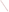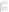# **Consumer Factsheet on: 1,1-DICHLOROETHYLENE**

# [List of Contaminants](http://www.epa.gov/safewater/hfacts.html)

 As part of the Drinking Water and Health pages, this fact sheet is part of a larger publication: **National Primary Drinking Water Regulations** 

 States Environmental Protection Agency (EPA). This is a factsheet about a chemical that may be found in some public or private drinking water supplies. It may cause health problems if found in amounts greater than the health standard set by the United

## **What is 1,1-DCE and how is it used?**

 1,1-Dichloroethylene (1,1-DCE) is an organic liquid with a mild, sweet, chloroform-like odor. Virtually all of it is used in making adhesives, synthetic fibers, refrigerants, food packaging and coating resins such as the saran types.

 The list of trade names given below may help you find out whether you are using this chemical at home or work.

## **Trade Names and Synonyms:**

1,1-DCE 1,1-Dichloroethene Asym-dichloro-ethylene Vinylidene chloride

# **Why is 1,1-DCE being Regulated?**

 based solely on possible health risks and exposure, are called Maximum Contaminant Level Goals. In 1974, Congress passed the Safe Drinking Water Act. This law requires EPA to determine safe levels of chemicals in drinking water which do or may cause health problems. These non-enforceable levels,

 protection would not cause any of the potential health problems described below. The MCLG for 1,1-DCE has been set at 7 parts per billion (ppb) because EPA believes this level of

 Based on this MCLG, EPA has set an enforceable standard called a Maximum Contaminant Level (MCL). MCLs are set as close to the MCLGs as possible, considering the ability of public water systems to detect and remove contaminants using suitable treatment technologies.

 The MCL has been set at 7 ppb because EPA believes, given present technology and resources, this is occur in drinking water. the lowest level to which water systems can reasonably be required to remove this contaminant should it

These drinking water standards and the regulations for ensuring these standards are met, are called National Primary Drinking Water Regulations. All public water supplies must abide by these regulations.

#### **What are the Health Effects?**

 Short-term: EPA has found 1,1-DCE to potentially cause the following health effects when people are exposed to it at levels above the MCL for relatively short periods of time: liver damage.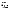above the MCL: liver and kidney damage, as well as toxicity to the developing fetus; cancer. Long-term: 1,1-DCE has the potential to cause the following effects from a lifetime exposure at levels

#### **How much 1,1-DCE is produced and released to the environment?**

An estimated 90,700 tons/yr of 1,1-DCE were produced in the USA during the early 1980s. It may be released by evaporation or in wastewater during its production and use in the manufacture of plastic wrap, adhesives, and synthetic fiber. It may also form in groundwater that has been contaminated by similar solvents.

 From 1987 to 1993, according to the Toxics Release Inventory, releases to water and land totalled over 11,500 lbs. These releases were primarily from facilities which make plastics materials/resins. The largest releases occurred in Kentucky.

#### **What happens to 1,1-DCE when it is released to the environment?**

 Releases to water will primarily be lost to the atmosphere through evaporation. 1,1-DCE will evaporate from soil and will leach into the groundwater where its fate is unknown, but degradation is expected to be slow. Its tendency to accumulate in aquatic life is unknown but expected to be minor.

#### **How will 1,1-DCE be Detected in and Removed from My Drinking Water?**

 The regulation for 1,1-DCE became effective in 1989. Between 1993 and 1995, EPA required your water supplier to collect water samples every 3 months for one year and analyze them to find out if 1,1-DCE is contaminant. present above 0.5 ppb. If it is present above this level, the system must continue to monitor this

 Packed Tower Aeration. If contaminant levels are found to be consistently above the MCL, your water supplier must take steps to reduce the amount of 1,1-DCE so that it is consistently below that level. The following treatment methods have been approved by EPA for removing 1,1-DCE: Granular activated charcoal in combination with

#### **How will I know if 1,1-DCE is in my drinking water?**

 If the levels of 1,1-DCE exceed the MCL, 7 ppb, the system must notify the public via newspapers, radio, required to prevent serious risks to public health. TV and other means. Additional actions, such as providing alternative drinking water supplies, may be

#### **Drinking Water Standards:**

Mclg: 7 ppb

Mcl: 7 ppb

# **1,1-DCE Releases to Water and Land, 1987 to 1993 (in pounds): Water Land**

|                            | Water  |       | Land  |
|----------------------------|--------|-------|-------|
| <b>TOTALS (in pounds)</b>  | 10,101 |       | 1.488 |
| <b>Top States</b>          |        |       |       |
| KY                         | 2.880  | 286   |       |
| TX                         | 2.061  | 150   |       |
| LA                         | 2.079  | 3     |       |
| <b>Major Industries</b>    |        |       |       |
| Plastics materials, resins |        | 3.942 | 1.299 |